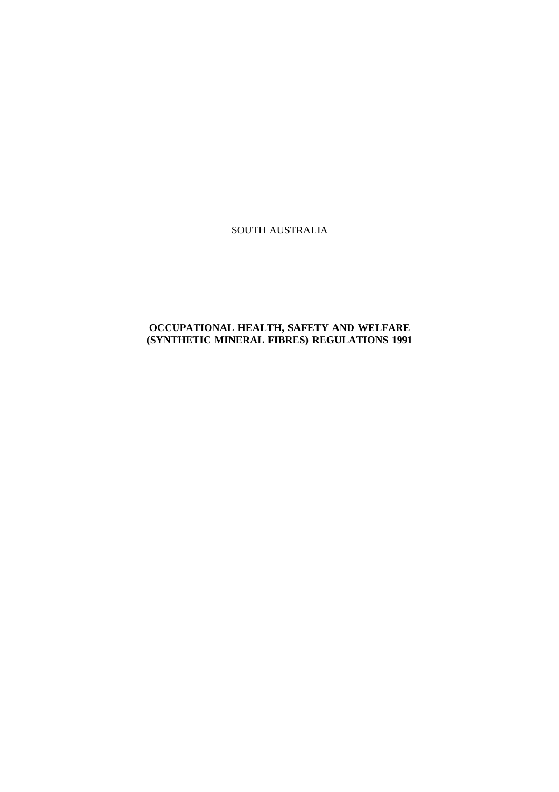SOUTH AUSTRALIA

# **OCCUPATIONAL HEALTH, SAFETY AND WELFARE (SYNTHETIC MINERAL FIBRES) REGULATIONS 1991**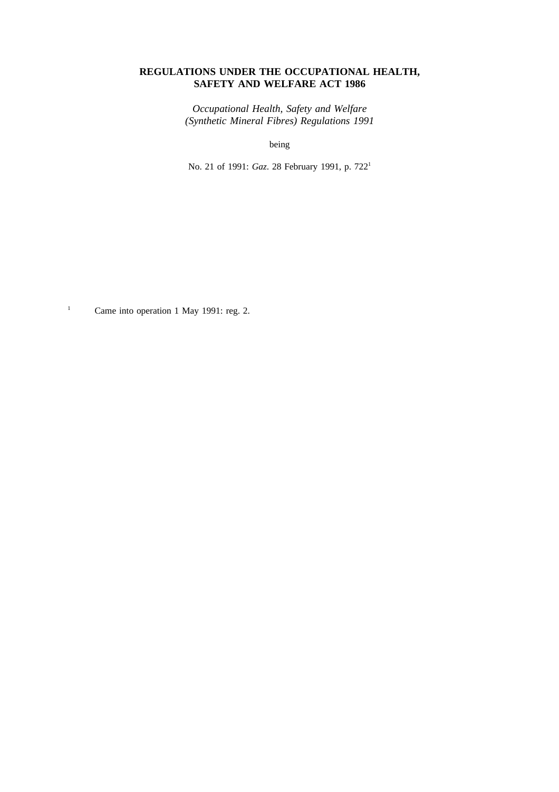# **REGULATIONS UNDER THE OCCUPATIONAL HEALTH, SAFETY AND WELFARE ACT 1986**

*Occupational Health, Safety and Welfare (Synthetic Mineral Fibres) Regulations 1991*

being

No. 21 of 1991: *Gaz*. 28 February 1991, p. 7221

<sup>1</sup> Came into operation 1 May 1991: reg. 2.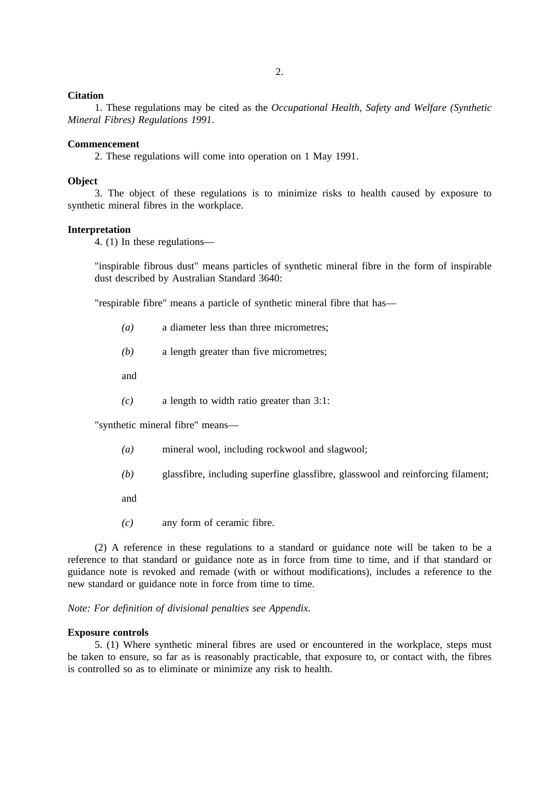## **Citation**

1. These regulations may be cited as the *Occupational Health, Safety and Welfare (Synthetic Mineral Fibres) Regulations 1991*.

#### **Commencement**

2. These regulations will come into operation on 1 May 1991.

# **Object**

3. The object of these regulations is to minimize risks to health caused by exposure to synthetic mineral fibres in the workplace.

### **Interpretation**

4. (1) In these regulations—

"inspirable fibrous dust" means particles of synthetic mineral fibre in the form of inspirable dust described by Australian Standard 3640:

"respirable fibre" means a particle of synthetic mineral fibre that has—

- *(a)* a diameter less than three micrometres;
- *(b)* a length greater than five micrometres;

and

*(c)* a length to width ratio greater than 3:1:

"synthetic mineral fibre" means—

- *(a)* mineral wool, including rockwool and slagwool;
- *(b)* glassfibre, including superfine glassfibre, glasswool and reinforcing filament;

and

*(c)* any form of ceramic fibre.

(2) A reference in these regulations to a standard or guidance note will be taken to be a reference to that standard or guidance note as in force from time to time, and if that standard or guidance note is revoked and remade (with or without modifications), includes a reference to the new standard or guidance note in force from time to time.

### *Note: For definition of divisional penalties see Appendix.*

### **Exposure controls**

5. (1) Where synthetic mineral fibres are used or encountered in the workplace, steps must be taken to ensure, so far as is reasonably practicable, that exposure to, or contact with, the fibres is controlled so as to eliminate or minimize any risk to health.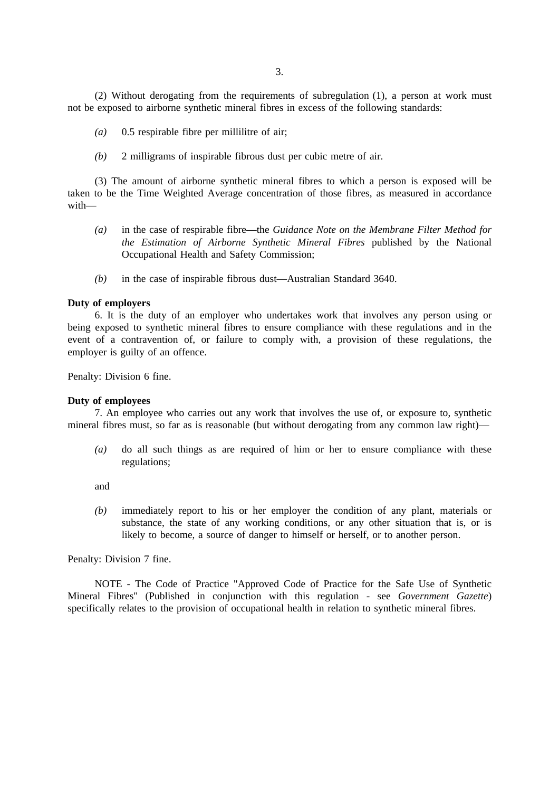(2) Without derogating from the requirements of subregulation (1), a person at work must not be exposed to airborne synthetic mineral fibres in excess of the following standards:

- *(a)* 0.5 respirable fibre per millilitre of air;
- *(b)* 2 milligrams of inspirable fibrous dust per cubic metre of air.

(3) The amount of airborne synthetic mineral fibres to which a person is exposed will be taken to be the Time Weighted Average concentration of those fibres, as measured in accordance with—

- *(a)* in the case of respirable fibre—the *Guidance Note on the Membrane Filter Method for the Estimation of Airborne Synthetic Mineral Fibres* published by the National Occupational Health and Safety Commission;
- *(b)* in the case of inspirable fibrous dust—Australian Standard 3640.

## **Duty of employers**

6. It is the duty of an employer who undertakes work that involves any person using or being exposed to synthetic mineral fibres to ensure compliance with these regulations and in the event of a contravention of, or failure to comply with, a provision of these regulations, the employer is guilty of an offence.

Penalty: Division 6 fine.

### **Duty of employees**

7. An employee who carries out any work that involves the use of, or exposure to, synthetic mineral fibres must, so far as is reasonable (but without derogating from any common law right)—

*(a)* do all such things as are required of him or her to ensure compliance with these regulations;

and

*(b)* immediately report to his or her employer the condition of any plant, materials or substance, the state of any working conditions, or any other situation that is, or is likely to become, a source of danger to himself or herself, or to another person.

Penalty: Division 7 fine.

NOTE - The Code of Practice "Approved Code of Practice for the Safe Use of Synthetic Mineral Fibres" (Published in conjunction with this regulation - see *Government Gazette*) specifically relates to the provision of occupational health in relation to synthetic mineral fibres.